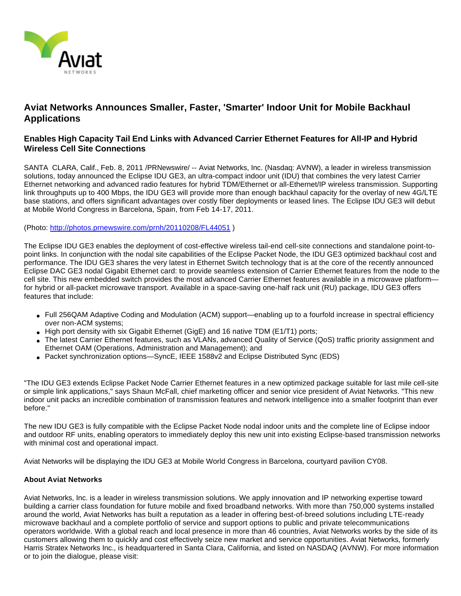

## **Aviat Networks Announces Smaller, Faster, 'Smarter' Indoor Unit for Mobile Backhaul Applications**

## **Enables High Capacity Tail End Links with Advanced Carrier Ethernet Features for All-IP and Hybrid Wireless Cell Site Connections**

SANTA CLARA, Calif., Feb. 8, 2011 /PRNewswire/ -- Aviat Networks, Inc. (Nasdaq: AVNW), a leader in wireless transmission solutions, today announced the Eclipse IDU GE3, an ultra-compact indoor unit (IDU) that combines the very latest Carrier Ethernet networking and advanced radio features for hybrid TDM/Ethernet or all-Ethernet/IP wireless transmission. Supporting link throughputs up to 400 Mbps, the IDU GE3 will provide more than enough backhaul capacity for the overlay of new 4G/LTE base stations, and offers significant advantages over costly fiber deployments or leased lines. The Eclipse IDU GE3 will debut at Mobile World Congress in Barcelona, Spain, from Feb 14-17, 2011.

(Photo: <http://photos.prnewswire.com/prnh/20110208/FL44051>)

The Eclipse IDU GE3 enables the deployment of cost-effective wireless tail-end cell-site connections and standalone point-topoint links. In conjunction with the nodal site capabilities of the Eclipse Packet Node, the IDU GE3 optimized backhaul cost and performance. The IDU GE3 shares the very latest in Ethernet Switch technology that is at the core of the recently announced Eclipse DAC GE3 nodal Gigabit Ethernet card: to provide seamless extension of Carrier Ethernet features from the node to the cell site. This new embedded switch provides the most advanced Carrier Ethernet features available in a microwave platform for hybrid or all-packet microwave transport. Available in a space-saving one-half rack unit (RU) package, IDU GE3 offers features that include:

- Full 256QAM Adaptive Coding and Modulation (ACM) support—enabling up to a fourfold increase in spectral efficiency over non-ACM systems;
- High port density with six Gigabit Ethernet (GigE) and 16 native TDM (E1/T1) ports;
- The latest Carrier Ethernet features, such as VLANs, advanced Quality of Service (QoS) traffic priority assignment and Ethernet OAM (Operations, Administration and Management); and
- Packet synchronization options—SyncE, IEEE 1588v2 and Eclipse Distributed Sync (EDS)

"The IDU GE3 extends Eclipse Packet Node Carrier Ethernet features in a new optimized package suitable for last mile cell-site or simple link applications," says Shaun McFall, chief marketing officer and senior vice president of Aviat Networks. "This new indoor unit packs an incredible combination of transmission features and network intelligence into a smaller footprint than ever before."

The new IDU GE3 is fully compatible with the Eclipse Packet Node nodal indoor units and the complete line of Eclipse indoor and outdoor RF units, enabling operators to immediately deploy this new unit into existing Eclipse-based transmission networks with minimal cost and operational impact.

Aviat Networks will be displaying the IDU GE3 at Mobile World Congress in Barcelona, courtyard pavilion CY08.

## **About Aviat Networks**

Aviat Networks, Inc. is a leader in wireless transmission solutions. We apply innovation and IP networking expertise toward building a carrier class foundation for future mobile and fixed broadband networks. With more than 750,000 systems installed around the world, Aviat Networks has built a reputation as a leader in offering best-of-breed solutions including LTE-ready microwave backhaul and a complete portfolio of service and support options to public and private telecommunications operators worldwide. With a global reach and local presence in more than 46 countries, Aviat Networks works by the side of its customers allowing them to quickly and cost effectively seize new market and service opportunities. Aviat Networks, formerly Harris Stratex Networks Inc., is headquartered in Santa Clara, California, and listed on NASDAQ (AVNW). For more information or to join the dialogue, please visit: